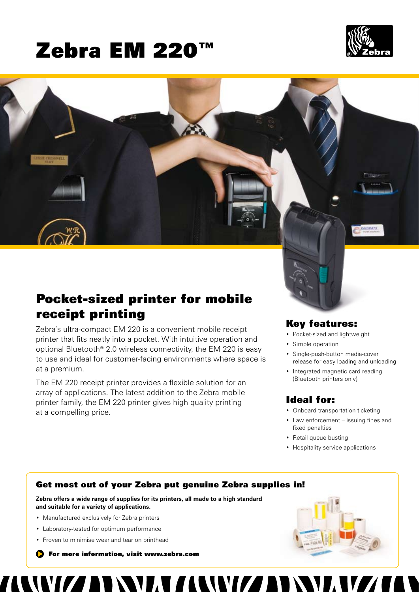# Zebra EM 220™





## Pocket-sized printer for mobile receipt printing

Zebra's ultra-compact EM 220 is a convenient mobile receipt printer that fits neatly into a pocket. With intuitive operation and optional Bluetooth® 2.0 wireless connectivity, the EM 220 is easy to use and ideal for customer-facing environments where space is at a premium.

The EM 220 receipt printer provides a flexible solution for an array of applications. The latest addition to the Zebra mobile printer family, the EM 220 printer gives high quality printing at a compelling price.

## Key features:

- Pocket-sized and lightweight
- Simple operation
- Single-push-button media-cover release for easy loading and unloading
- Integrated magnetic card reading (Bluetooth printers only)

## Ideal for:

- • Onboard transportation ticketing
- Law enforcement issuing fines and fixed penalties
- Retail queue busting
- Hospitality service applications

## Get most out of your Zebra put genuine Zebra supplies in!

**Zebra offers a wide range of supplies for its printers, all made to a high standard and suitable for a variety of applications.**

- Manufactured exclusively for Zebra printers
- Laboratory-tested for optimum performance
- Proven to minimise wear and tear on printhead

**S** For more information, visit www.zebra.com